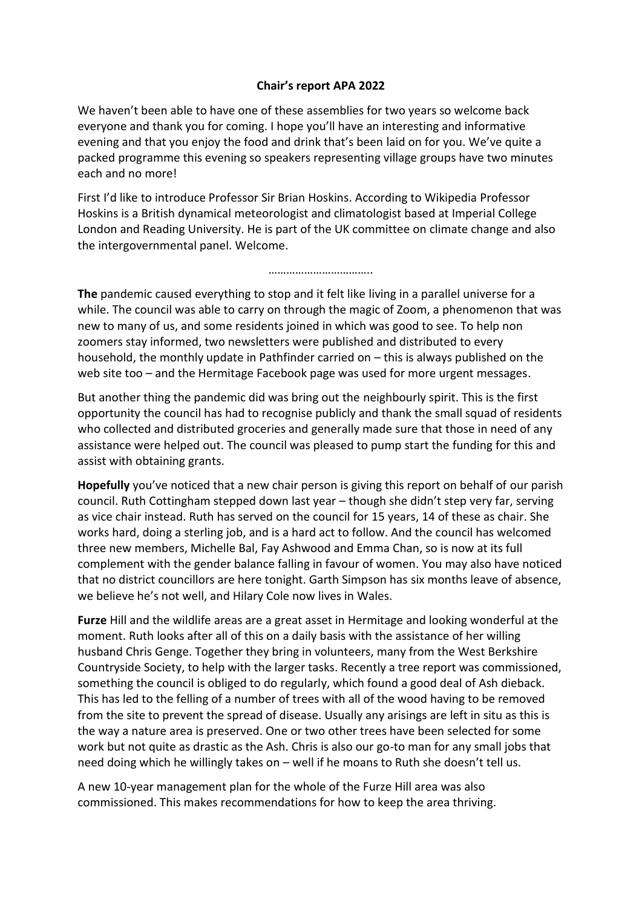## **Chair's report APA 2022**

We haven't been able to have one of these assemblies for two years so welcome back everyone and thank you for coming. I hope you'll have an interesting and informative evening and that you enjoy the food and drink that's been laid on for you. We've quite a packed programme this evening so speakers representing village groups have two minutes each and no more!

First I'd like to introduce Professor Sir Brian Hoskins. According to Wikipedia Professor Hoskins is a British dynamical meteorologist and climatologist based at Imperial College London and Reading University. He is part of the UK committee on climate change and also the intergovernmental panel. Welcome.

………………………………

**The** pandemic caused everything to stop and it felt like living in a parallel universe for a while. The council was able to carry on through the magic of Zoom, a phenomenon that was new to many of us, and some residents joined in which was good to see. To help non zoomers stay informed, two newsletters were published and distributed to every household, the monthly update in Pathfinder carried on – this is always published on the web site too – and the Hermitage Facebook page was used for more urgent messages.

But another thing the pandemic did was bring out the neighbourly spirit. This is the first opportunity the council has had to recognise publicly and thank the small squad of residents who collected and distributed groceries and generally made sure that those in need of any assistance were helped out. The council was pleased to pump start the funding for this and assist with obtaining grants.

**Hopefully** you've noticed that a new chair person is giving this report on behalf of our parish council. Ruth Cottingham stepped down last year – though she didn't step very far, serving as vice chair instead. Ruth has served on the council for 15 years, 14 of these as chair. She works hard, doing a sterling job, and is a hard act to follow. And the council has welcomed three new members, Michelle Bal, Fay Ashwood and Emma Chan, so is now at its full complement with the gender balance falling in favour of women. You may also have noticed that no district councillors are here tonight. Garth Simpson has six months leave of absence, we believe he's not well, and Hilary Cole now lives in Wales.

**Furze** Hill and the wildlife areas are a great asset in Hermitage and looking wonderful at the moment. Ruth looks after all of this on a daily basis with the assistance of her willing husband Chris Genge. Together they bring in volunteers, many from the West Berkshire Countryside Society, to help with the larger tasks. Recently a tree report was commissioned, something the council is obliged to do regularly, which found a good deal of Ash dieback. This has led to the felling of a number of trees with all of the wood having to be removed from the site to prevent the spread of disease. Usually any arisings are left in situ as this is the way a nature area is preserved. One or two other trees have been selected for some work but not quite as drastic as the Ash. Chris is also our go-to man for any small jobs that need doing which he willingly takes on – well if he moans to Ruth she doesn't tell us.

A new 10-year management plan for the whole of the Furze Hill area was also commissioned. This makes recommendations for how to keep the area thriving.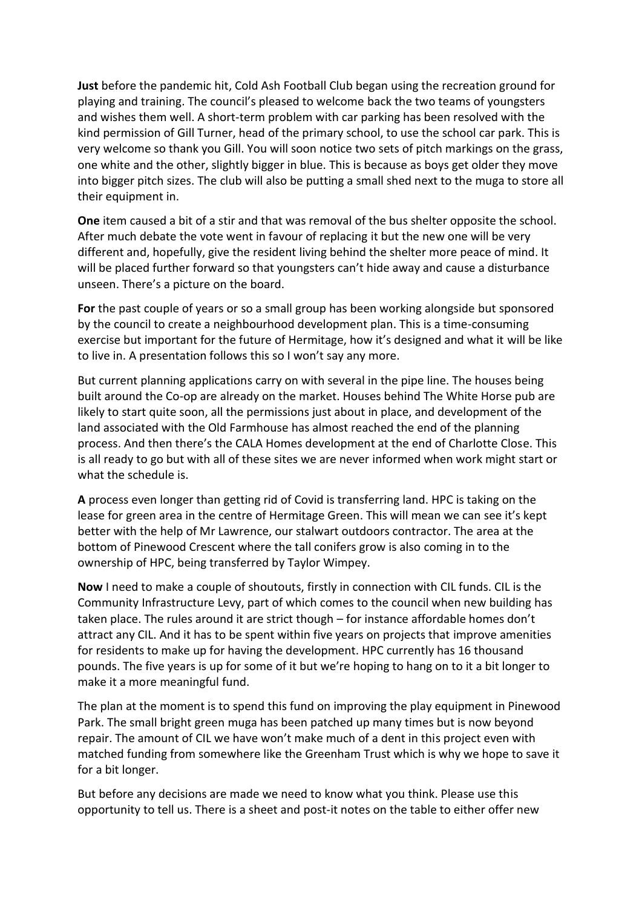**Just** before the pandemic hit, Cold Ash Football Club began using the recreation ground for playing and training. The council's pleased to welcome back the two teams of youngsters and wishes them well. A short-term problem with car parking has been resolved with the kind permission of Gill Turner, head of the primary school, to use the school car park. This is very welcome so thank you Gill. You will soon notice two sets of pitch markings on the grass, one white and the other, slightly bigger in blue. This is because as boys get older they move into bigger pitch sizes. The club will also be putting a small shed next to the muga to store all their equipment in.

**One** item caused a bit of a stir and that was removal of the bus shelter opposite the school. After much debate the vote went in favour of replacing it but the new one will be very different and, hopefully, give the resident living behind the shelter more peace of mind. It will be placed further forward so that youngsters can't hide away and cause a disturbance unseen. There's a picture on the board.

**For** the past couple of years or so a small group has been working alongside but sponsored by the council to create a neighbourhood development plan. This is a time-consuming exercise but important for the future of Hermitage, how it's designed and what it will be like to live in. A presentation follows this so I won't say any more.

But current planning applications carry on with several in the pipe line. The houses being built around the Co-op are already on the market. Houses behind The White Horse pub are likely to start quite soon, all the permissions just about in place, and development of the land associated with the Old Farmhouse has almost reached the end of the planning process. And then there's the CALA Homes development at the end of Charlotte Close. This is all ready to go but with all of these sites we are never informed when work might start or what the schedule is.

**A** process even longer than getting rid of Covid is transferring land. HPC is taking on the lease for green area in the centre of Hermitage Green. This will mean we can see it's kept better with the help of Mr Lawrence, our stalwart outdoors contractor. The area at the bottom of Pinewood Crescent where the tall conifers grow is also coming in to the ownership of HPC, being transferred by Taylor Wimpey.

**Now** I need to make a couple of shoutouts, firstly in connection with CIL funds. CIL is the Community Infrastructure Levy, part of which comes to the council when new building has taken place. The rules around it are strict though – for instance affordable homes don't attract any CIL. And it has to be spent within five years on projects that improve amenities for residents to make up for having the development. HPC currently has 16 thousand pounds. The five years is up for some of it but we're hoping to hang on to it a bit longer to make it a more meaningful fund.

The plan at the moment is to spend this fund on improving the play equipment in Pinewood Park. The small bright green muga has been patched up many times but is now beyond repair. The amount of CIL we have won't make much of a dent in this project even with matched funding from somewhere like the Greenham Trust which is why we hope to save it for a bit longer.

But before any decisions are made we need to know what you think. Please use this opportunity to tell us. There is a sheet and post-it notes on the table to either offer new